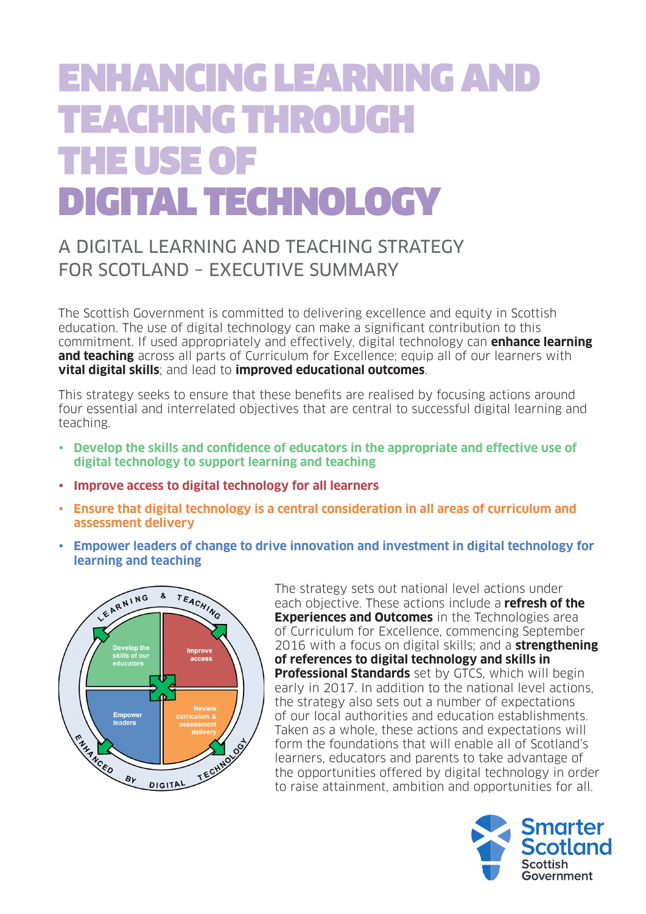# ENHANCING LEARNING AND TEACHING THROUGH THE USE OF DIGITAL TECHNOLOGY

## A DIGITAL LEARNING AND TEACHING STRATEGY FOR SCOTLAND – EXECUTIVE SUMMARY

The Scottish Government is committed to delivering excellence and equity in Scottish education. The use of digital technology can make a significant contribution to this commitment. If used appropriately and effectively, digital technology can **enhance learning and teaching** across all parts of Curriculum for Excellence; equip all of our learners with **vital digital skills**; and lead to **improved educational outcomes**.

This strategy seeks to ensure that these benefits are realised by focusing actions around four essential and interrelated objectives that are central to successful digital learning and teaching.

- • **Develop the skills and confidence of educators in the appropriate and effective use of digital technology to support learning and teaching**
- • **Improve access to digital technology for all learners**
- • **Ensure that digital technology is a central consideration in all areas of curriculum and assessment delivery**
- • **Empower leaders of change to drive innovation and investment in digital technology for learning and teaching**



The strategy sets out national level actions under each objective. These actions include a **refresh of the Experiences and Outcomes** in the Technologies area of Curriculum for Excellence, commencing September 2016 with a focus on digital skills; and a **strengthening of references to digital technology and skills in Professional Standards** set by GTCS, which will begin early in 2017. In addition to the national level actions, the strategy also sets out a number of expectations of our local authorities and education establishments. Taken as a whole, these actions and expectations will form the foundations that will enable all of Scotland's learners, educators and parents to take advantage of the opportunities offered by digital technology in order to raise attainment, ambition and opportunities for all.

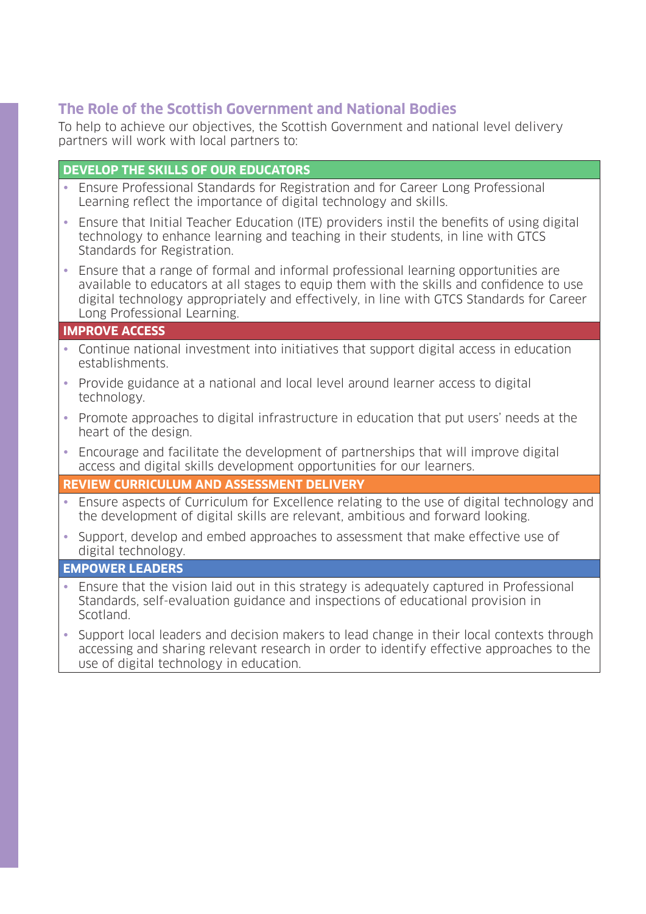## **The Role of the Scottish Government and National Bodies**

To help to achieve our objectives, the Scottish Government and national level delivery partners will work with local partners to:

## **DEVELOP THE SKILLS OF OUR EDUCATORS**

- Ensure Professional Standards for Registration and for Career Long Professional Learning reflect the importance of digital technology and skills.
- Ensure that Initial Teacher Education (ITE) providers instil the benefits of using digital technology to enhance learning and teaching in their students, in line with GTCS Standards for Registration.
- Ensure that a range of formal and informal professional learning opportunities are available to educators at all stages to equip them with the skills and confidence to use digital technology appropriately and effectively, in line with GTCS Standards for Career Long Professional Learning.

## **IMPROVE ACCESS**

- Continue national investment into initiatives that support digital access in education establishments.
- Provide guidance at a national and local level around learner access to digital technology.
- Promote approaches to digital infrastructure in education that put users' needs at the heart of the design.
- Encourage and facilitate the development of partnerships that will improve digital access and digital skills development opportunities for our learners.

#### **REVIEW CURRICULUM AND ASSESSMENT DELIVERY**

- Ensure aspects of Curriculum for Excellence relating to the use of digital technology and the development of digital skills are relevant, ambitious and forward looking.
- Support, develop and embed approaches to assessment that make effective use of digital technology.

#### **EMPOWER LEADERS**

- Ensure that the vision laid out in this strategy is adequately captured in Professional Standards, self-evaluation guidance and inspections of educational provision in Scotland.
- Support local leaders and decision makers to lead change in their local contexts through accessing and sharing relevant research in order to identify effective approaches to the use of digital technology in education.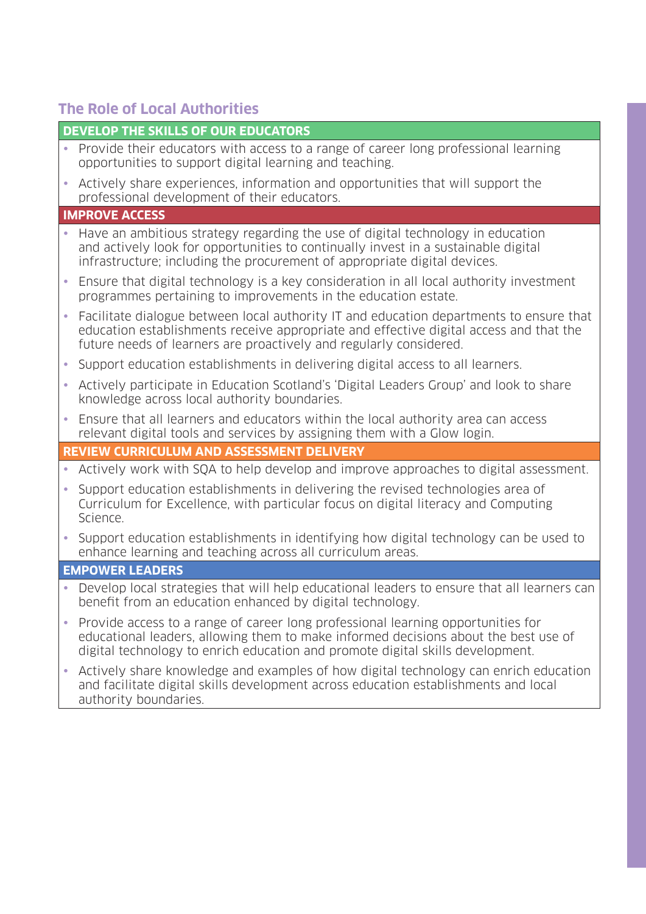## **The Role of Local Authorities**

authority boundaries.

## **DEVELOP THE SKILLS OF OUR EDUCATORS**

• Provide their educators with access to a range of career long professional learning opportunities to support digital learning and teaching. • Actively share experiences, information and opportunities that will support the professional development of their educators. **IMPROVE ACCESS** • Have an ambitious strategy regarding the use of digital technology in education and actively look for opportunities to continually invest in a sustainable digital infrastructure; including the procurement of appropriate digital devices. • Ensure that digital technology is a key consideration in all local authority investment programmes pertaining to improvements in the education estate. • Facilitate dialogue between local authority IT and education departments to ensure that education establishments receive appropriate and effective digital access and that the future needs of learners are proactively and regularly considered. • Support education establishments in delivering digital access to all learners. • Actively participate in Education Scotland's 'Digital Leaders Group' and look to share knowledge across local authority boundaries. • Ensure that all learners and educators within the local authority area can access relevant digital tools and services by assigning them with a Glow login. **REVIEW CURRICULUM AND ASSESSMENT DELIVERY** • Actively work with SQA to help develop and improve approaches to digital assessment. • Support education establishments in delivering the revised technologies area of Curriculum for Excellence, with particular focus on digital literacy and Computing Science. • Support education establishments in identifying how digital technology can be used to enhance learning and teaching across all curriculum areas. **EMPOWER LEADERS** • Develop local strategies that will help educational leaders to ensure that all learners can benefit from an education enhanced by digital technology. • Provide access to a range of career long professional learning opportunities for educational leaders, allowing them to make informed decisions about the best use of digital technology to enrich education and promote digital skills development. • Actively share knowledge and examples of how digital technology can enrich education and facilitate digital skills development across education establishments and local